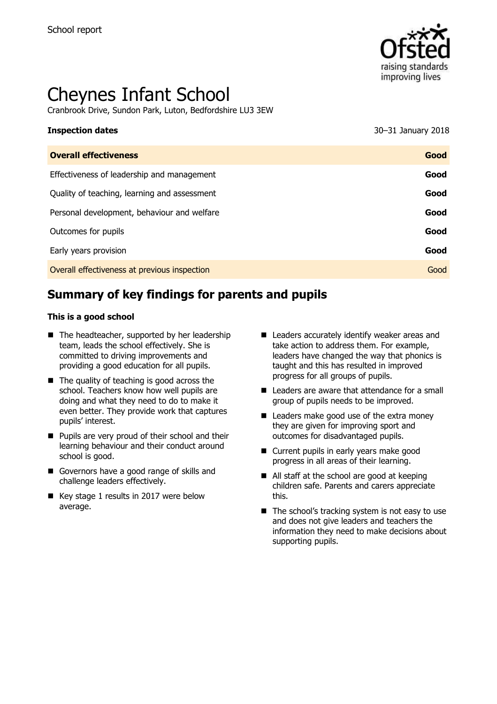

# Cheynes Infant School

Cranbrook Drive, Sundon Park, Luton, Bedfordshire LU3 3EW

# **Inspection dates** 30–31 January 2018

| <b>Overall effectiveness</b>                 | Good |
|----------------------------------------------|------|
| Effectiveness of leadership and management   | Good |
| Quality of teaching, learning and assessment | Good |
| Personal development, behaviour and welfare  | Good |
| Outcomes for pupils                          | Good |
| Early years provision                        | Good |
| Overall effectiveness at previous inspection | Good |
|                                              |      |

# **Summary of key findings for parents and pupils**

#### **This is a good school**

- $\blacksquare$  The headteacher, supported by her leadership team, leads the school effectively. She is committed to driving improvements and providing a good education for all pupils.
- $\blacksquare$  The quality of teaching is good across the school. Teachers know how well pupils are doing and what they need to do to make it even better. They provide work that captures pupils' interest.
- **Pupils are very proud of their school and their** learning behaviour and their conduct around school is good.
- Governors have a good range of skills and challenge leaders effectively.
- Key stage 1 results in 2017 were below average.
- Leaders accurately identify weaker areas and take action to address them. For example, leaders have changed the way that phonics is taught and this has resulted in improved progress for all groups of pupils.
- Leaders are aware that attendance for a small group of pupils needs to be improved.
- Leaders make good use of the extra money they are given for improving sport and outcomes for disadvantaged pupils.
- Current pupils in early years make good progress in all areas of their learning.
- All staff at the school are good at keeping children safe. Parents and carers appreciate this.
- $\blacksquare$  The school's tracking system is not easy to use and does not give leaders and teachers the information they need to make decisions about supporting pupils.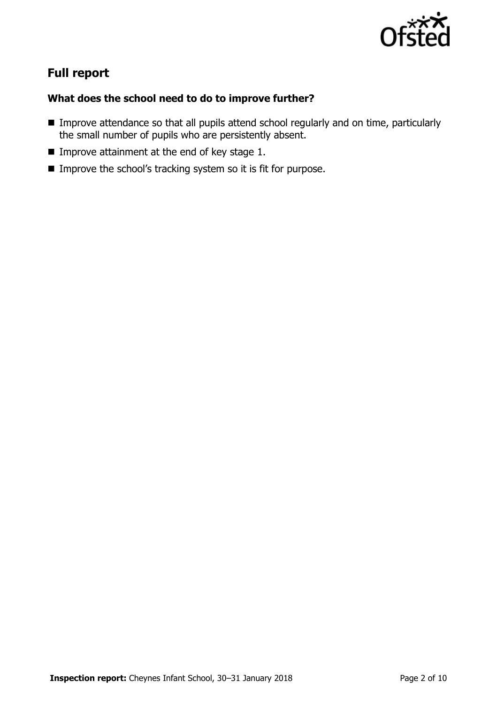

# **Full report**

### **What does the school need to do to improve further?**

- **IMPROVE Attendance so that all pupils attend school regularly and on time, particularly** the small number of pupils who are persistently absent.
- Improve attainment at the end of key stage  $1$ .
- Improve the school's tracking system so it is fit for purpose.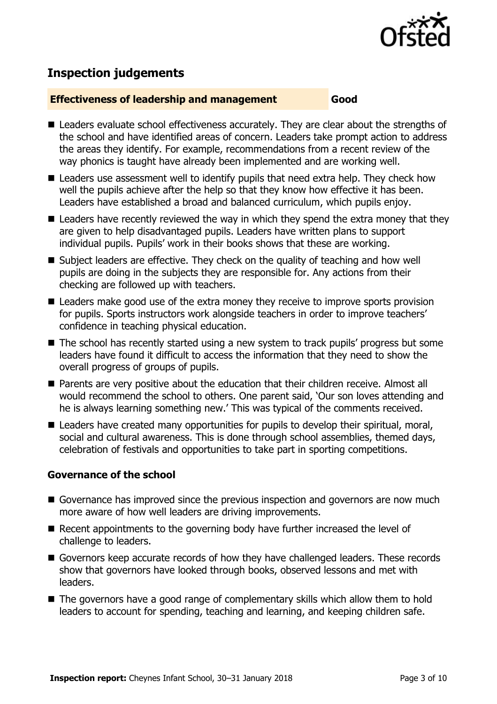

# **Inspection judgements**

#### **Effectiveness of leadership and management Good**

- Leaders evaluate school effectiveness accurately. They are clear about the strengths of the school and have identified areas of concern. Leaders take prompt action to address the areas they identify. For example, recommendations from a recent review of the way phonics is taught have already been implemented and are working well.
- Leaders use assessment well to identify pupils that need extra help. They check how well the pupils achieve after the help so that they know how effective it has been. Leaders have established a broad and balanced curriculum, which pupils enjoy.
- $\blacksquare$  Leaders have recently reviewed the way in which they spend the extra money that they are given to help disadvantaged pupils. Leaders have written plans to support individual pupils. Pupils' work in their books shows that these are working.
- Subject leaders are effective. They check on the quality of teaching and how well pupils are doing in the subjects they are responsible for. Any actions from their checking are followed up with teachers.
- Leaders make good use of the extra money they receive to improve sports provision for pupils. Sports instructors work alongside teachers in order to improve teachers' confidence in teaching physical education.
- The school has recently started using a new system to track pupils' progress but some leaders have found it difficult to access the information that they need to show the overall progress of groups of pupils.
- Parents are very positive about the education that their children receive. Almost all would recommend the school to others. One parent said, 'Our son loves attending and he is always learning something new.' This was typical of the comments received.
- Leaders have created many opportunities for pupils to develop their spiritual, moral, social and cultural awareness. This is done through school assemblies, themed days, celebration of festivals and opportunities to take part in sporting competitions.

### **Governance of the school**

- Governance has improved since the previous inspection and governors are now much more aware of how well leaders are driving improvements.
- Recent appointments to the governing body have further increased the level of challenge to leaders.
- Governors keep accurate records of how they have challenged leaders. These records show that governors have looked through books, observed lessons and met with leaders.
- The governors have a good range of complementary skills which allow them to hold leaders to account for spending, teaching and learning, and keeping children safe.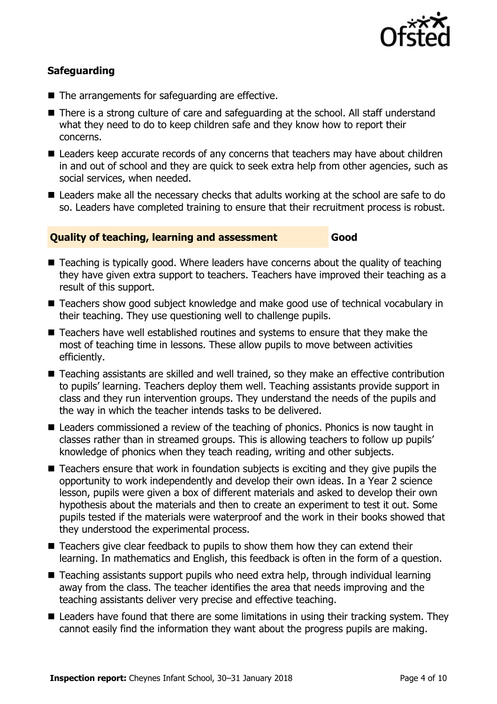

### **Safeguarding**

- The arrangements for safeguarding are effective.
- There is a strong culture of care and safeguarding at the school. All staff understand what they need to do to keep children safe and they know how to report their concerns.
- Leaders keep accurate records of any concerns that teachers may have about children in and out of school and they are quick to seek extra help from other agencies, such as social services, when needed.
- Leaders make all the necessary checks that adults working at the school are safe to do so. Leaders have completed training to ensure that their recruitment process is robust.

#### **Quality of teaching, learning and assessment Good**

- Teaching is typically good. Where leaders have concerns about the quality of teaching they have given extra support to teachers. Teachers have improved their teaching as a result of this support.
- Teachers show good subject knowledge and make good use of technical vocabulary in their teaching. They use questioning well to challenge pupils.
- Teachers have well established routines and systems to ensure that they make the most of teaching time in lessons. These allow pupils to move between activities efficiently.
- Teaching assistants are skilled and well trained, so they make an effective contribution to pupils' learning. Teachers deploy them well. Teaching assistants provide support in class and they run intervention groups. They understand the needs of the pupils and the way in which the teacher intends tasks to be delivered.
- Leaders commissioned a review of the teaching of phonics. Phonics is now taught in classes rather than in streamed groups. This is allowing teachers to follow up pupils' knowledge of phonics when they teach reading, writing and other subjects.
- Teachers ensure that work in foundation subjects is exciting and they give pupils the opportunity to work independently and develop their own ideas. In a Year 2 science lesson, pupils were given a box of different materials and asked to develop their own hypothesis about the materials and then to create an experiment to test it out. Some pupils tested if the materials were waterproof and the work in their books showed that they understood the experimental process.
- Teachers give clear feedback to pupils to show them how they can extend their learning. In mathematics and English, this feedback is often in the form of a question.
- Teaching assistants support pupils who need extra help, through individual learning away from the class. The teacher identifies the area that needs improving and the teaching assistants deliver very precise and effective teaching.
- Leaders have found that there are some limitations in using their tracking system. They cannot easily find the information they want about the progress pupils are making.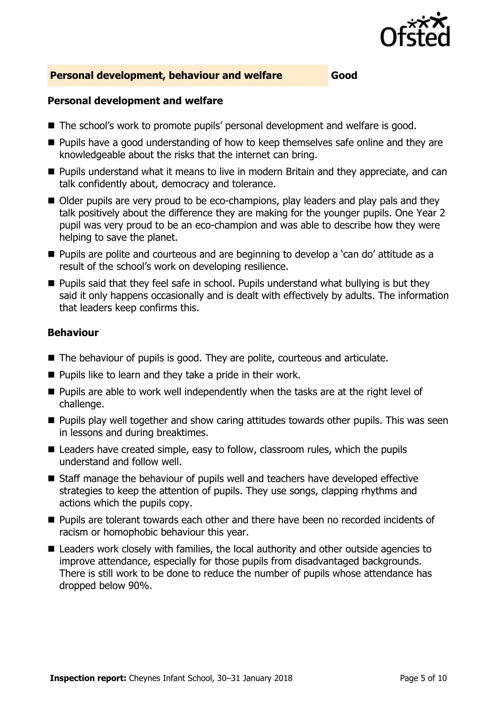

#### **Personal development, behaviour and welfare Good**

#### **Personal development and welfare**

- The school's work to promote pupils' personal development and welfare is good.
- **Pupils have a good understanding of how to keep themselves safe online and they are** knowledgeable about the risks that the internet can bring.
- **Pupils understand what it means to live in modern Britain and they appreciate, and can** talk confidently about, democracy and tolerance.
- Older pupils are very proud to be eco-champions, play leaders and play pals and they talk positively about the difference they are making for the younger pupils. One Year 2 pupil was very proud to be an eco-champion and was able to describe how they were helping to save the planet.
- **Pupils are polite and courteous and are beginning to develop a 'can do' attitude as a** result of the school's work on developing resilience.
- $\blacksquare$  Pupils said that they feel safe in school. Pupils understand what bullying is but they said it only happens occasionally and is dealt with effectively by adults. The information that leaders keep confirms this.

#### **Behaviour**

- The behaviour of pupils is good. They are polite, courteous and articulate.
- $\blacksquare$  Pupils like to learn and they take a pride in their work.
- $\blacksquare$  Pupils are able to work well independently when the tasks are at the right level of challenge.
- $\blacksquare$  Pupils play well together and show caring attitudes towards other pupils. This was seen in lessons and during breaktimes.
- Leaders have created simple, easy to follow, classroom rules, which the pupils understand and follow well.
- Staff manage the behaviour of pupils well and teachers have developed effective strategies to keep the attention of pupils. They use songs, clapping rhythms and actions which the pupils copy.
- **Pupils are tolerant towards each other and there have been no recorded incidents of** racism or homophobic behaviour this year.
- Leaders work closely with families, the local authority and other outside agencies to improve attendance, especially for those pupils from disadvantaged backgrounds. There is still work to be done to reduce the number of pupils whose attendance has dropped below 90%.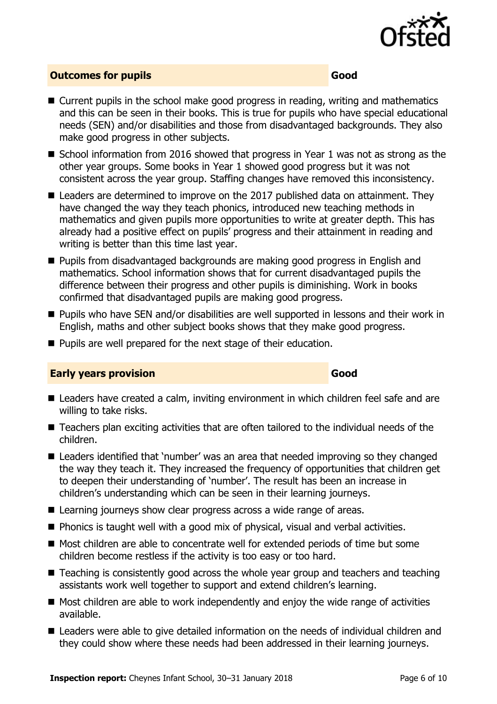

### **Outcomes for pupils Good**

- Current pupils in the school make good progress in reading, writing and mathematics and this can be seen in their books. This is true for pupils who have special educational needs (SEN) and/or disabilities and those from disadvantaged backgrounds. They also make good progress in other subjects.
- School information from 2016 showed that progress in Year 1 was not as strong as the other year groups. Some books in Year 1 showed good progress but it was not consistent across the year group. Staffing changes have removed this inconsistency.
- Leaders are determined to improve on the 2017 published data on attainment. They have changed the way they teach phonics, introduced new teaching methods in mathematics and given pupils more opportunities to write at greater depth. This has already had a positive effect on pupils' progress and their attainment in reading and writing is better than this time last year.
- **Pupils from disadvantaged backgrounds are making good progress in English and** mathematics. School information shows that for current disadvantaged pupils the difference between their progress and other pupils is diminishing. Work in books confirmed that disadvantaged pupils are making good progress.
- Pupils who have SEN and/or disabilities are well supported in lessons and their work in English, maths and other subject books shows that they make good progress.
- **Pupils are well prepared for the next stage of their education.**

#### **Early years provision Good Good**

- Leaders have created a calm, inviting environment in which children feel safe and are willing to take risks.
- Teachers plan exciting activities that are often tailored to the individual needs of the children.
- Leaders identified that 'number' was an area that needed improving so they changed the way they teach it. They increased the frequency of opportunities that children get to deepen their understanding of 'number'. The result has been an increase in children's understanding which can be seen in their learning journeys.
- Learning journeys show clear progress across a wide range of areas.
- **Phonics is taught well with a good mix of physical, visual and verbal activities.**
- Most children are able to concentrate well for extended periods of time but some children become restless if the activity is too easy or too hard.
- Teaching is consistently good across the whole year group and teachers and teaching assistants work well together to support and extend children's learning.
- Most children are able to work independently and enjoy the wide range of activities available.
- Leaders were able to give detailed information on the needs of individual children and they could show where these needs had been addressed in their learning journeys.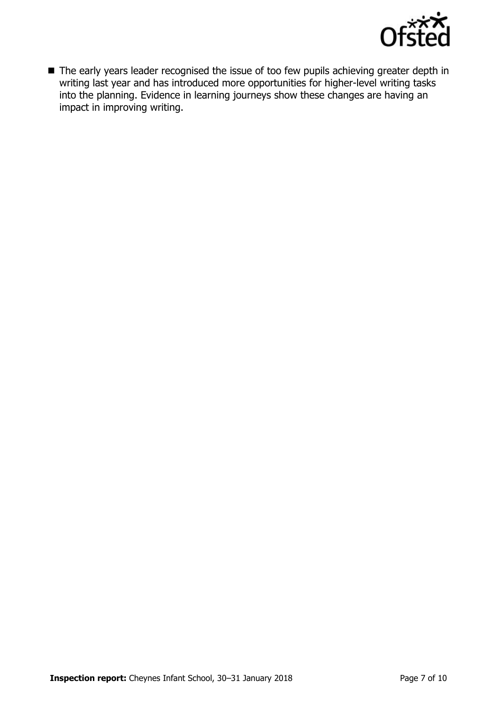

■ The early years leader recognised the issue of too few pupils achieving greater depth in writing last year and has introduced more opportunities for higher-level writing tasks into the planning. Evidence in learning journeys show these changes are having an impact in improving writing.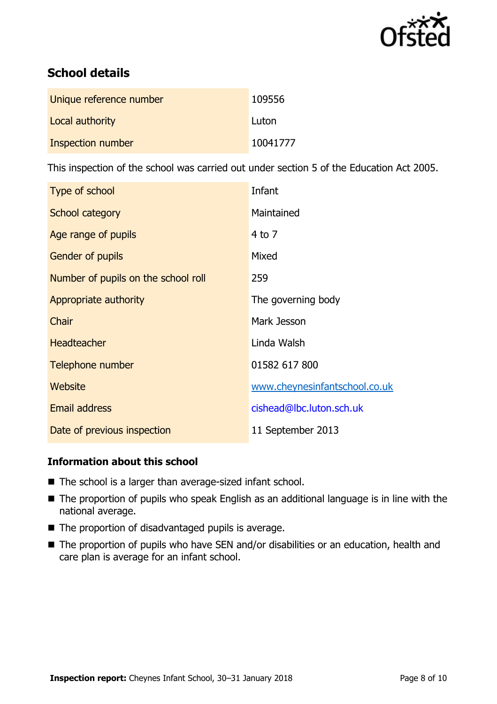

# **School details**

| Unique reference number | 109556   |
|-------------------------|----------|
| Local authority         | Luton    |
| Inspection number       | 10041777 |

This inspection of the school was carried out under section 5 of the Education Act 2005.

| Type of school                      | Infant                        |
|-------------------------------------|-------------------------------|
| School category                     | Maintained                    |
| Age range of pupils                 | $4$ to $7$                    |
| <b>Gender of pupils</b>             | Mixed                         |
| Number of pupils on the school roll | 259                           |
| Appropriate authority               | The governing body            |
| Chair                               | Mark Jesson                   |
| <b>Headteacher</b>                  | Linda Walsh                   |
| Telephone number                    | 01582 617 800                 |
| Website                             | www.cheynesinfantschool.co.uk |
| <b>Email address</b>                | cishead@lbc.luton.sch.uk      |
| Date of previous inspection         | 11 September 2013             |

### **Information about this school**

- The school is a larger than average-sized infant school.
- The proportion of pupils who speak English as an additional language is in line with the national average.
- The proportion of disadvantaged pupils is average.
- The proportion of pupils who have SEN and/or disabilities or an education, health and care plan is average for an infant school.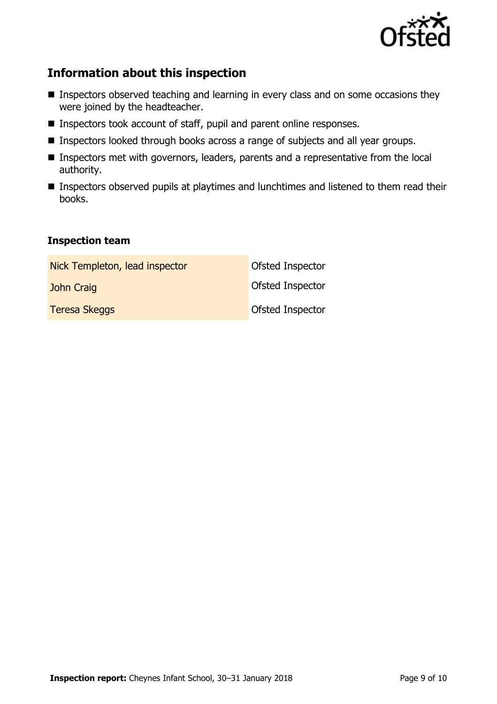

## **Information about this inspection**

- **Inspectors observed teaching and learning in every class and on some occasions they** were joined by the headteacher.
- Inspectors took account of staff, pupil and parent online responses.
- **Inspectors looked through books across a range of subjects and all year groups.**
- **Inspectors met with governors, leaders, parents and a representative from the local** authority.
- **Inspectors observed pupils at playtimes and lunchtimes and listened to them read their** books.

#### **Inspection team**

| Nick Templeton, lead inspector | Ofsted Inspector |
|--------------------------------|------------------|
| John Craig                     | Ofsted Inspector |
| <b>Teresa Skeggs</b>           | Ofsted Inspector |